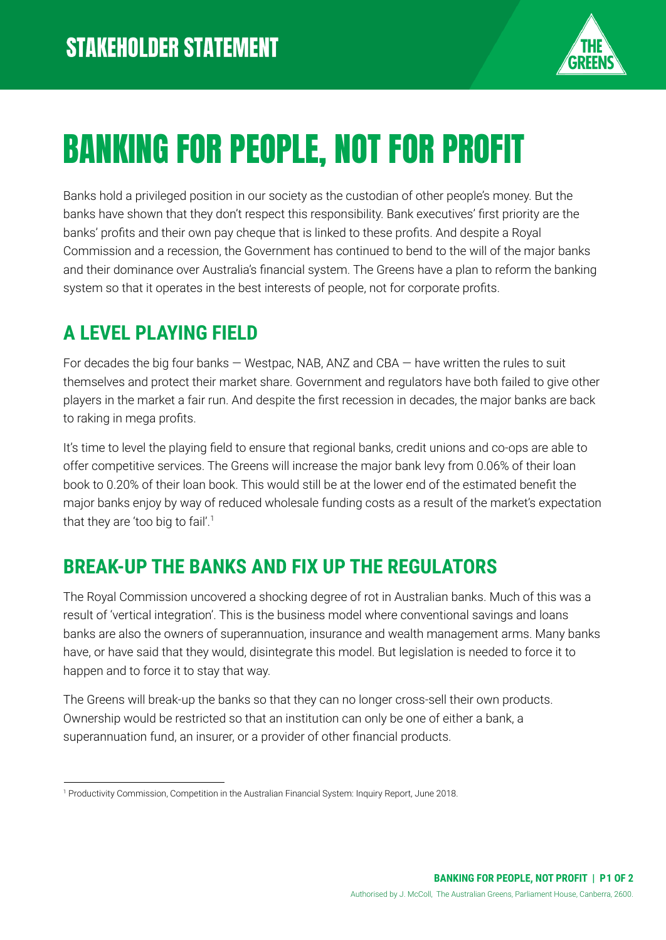

# BANKING FOR PEOPLE, NOT FOR PROFIT

Banks hold a privileged position in our society as the custodian of other people's money. But the banks have shown that they don't respect this responsibility. Bank executives' first priority are the banks' profits and their own pay cheque that is linked to these profits. And despite a Royal Commission and a recession, the Government has continued to bend to the will of the major banks and their dominance over Australia's financial system. The Greens have a plan to reform the banking system so that it operates in the best interests of people, not for corporate profits.

## **A LEVEL PLAYING FIELD**

For decades the big four banks  $-$  Westpac, NAB, ANZ and CBA  $-$  have written the rules to suit themselves and protect their market share. Government and regulators have both failed to give other players in the market a fair run. And despite the first recession in decades, the major banks are back to raking in mega profits.

It's time to level the playing field to ensure that regional banks, credit unions and co-ops are able to offer competitive services. The Greens will increase the major bank levy from 0.06% of their loan book to 0.20% of their loan book. This would still be at the lower end of the estimated benefit the major banks enjoy by way of reduced wholesale funding costs as a result of the market's expectation that they are 'too big to fail'.<sup>1</sup>

### **BREAK-UP THE BANKS AND FIX UP THE REGULATORS**

The Royal Commission uncovered a shocking degree of rot in Australian banks. Much of this was a result of 'vertical integration'. This is the business model where conventional savings and loans banks are also the owners of superannuation, insurance and wealth management arms. Many banks have, or have said that they would, disintegrate this model. But legislation is needed to force it to happen and to force it to stay that way.

The Greens will break-up the banks so that they can no longer cross-sell their own products. Ownership would be restricted so that an institution can only be one of either a bank, a superannuation fund, an insurer, or a provider of other financial products.

<sup>1</sup> Productivity Commission, Competition in the Australian Financial System: Inquiry Report, June 2018.